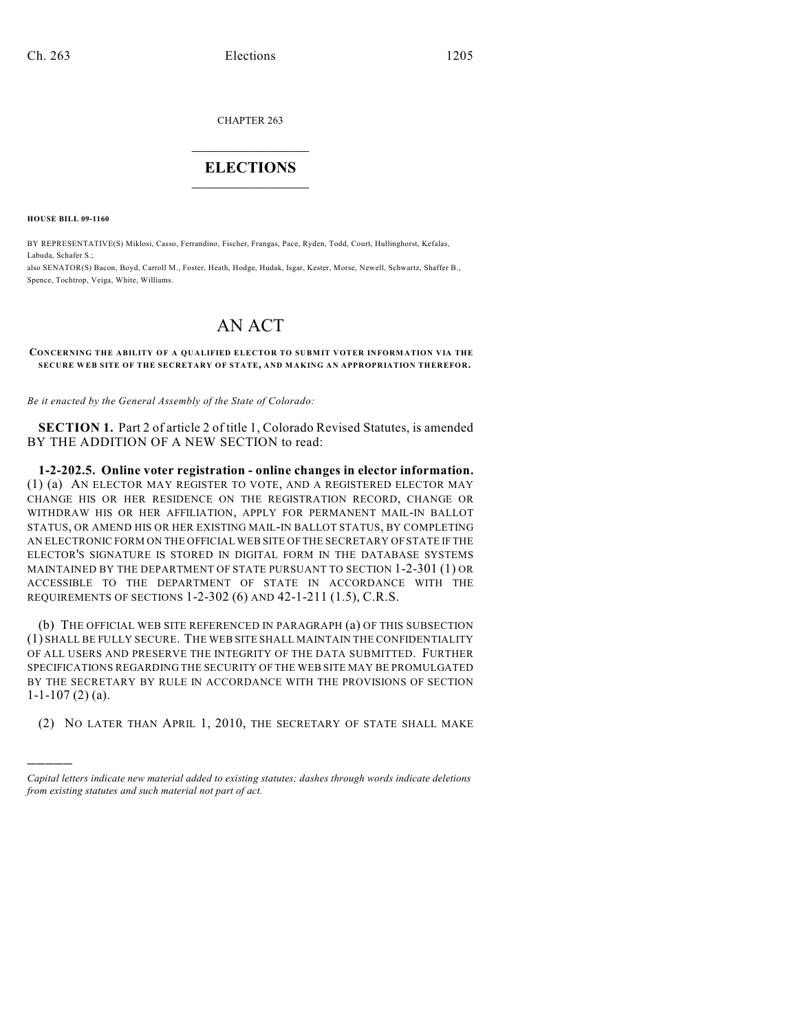CHAPTER 263

## $\mathcal{L}_\text{max}$  . The set of the set of the set of the set of the set of the set of the set of the set of the set of the set of the set of the set of the set of the set of the set of the set of the set of the set of the set **ELECTIONS**  $\_$

**HOUSE BILL 09-1160**

)))))

BY REPRESENTATIVE(S) Miklosi, Casso, Ferrandino, Fischer, Frangas, Pace, Ryden, Todd, Court, Hullinghorst, Kefalas, Labuda, Schafer S.;

also SENATOR(S) Bacon, Boyd, Carroll M., Foster, Heath, Hodge, Hudak, Isgar, Kester, Morse, Newell, Schwartz, Shaffer B., Spence, Tochtrop, Veiga, White, Williams.

## AN ACT

## **CONCERNING THE ABILITY OF A QUALIFIED ELECTOR TO SUBMIT VOTER INFORMATION VIA THE SECURE WEB SITE OF THE SECRETARY OF STATE, AND MAKING AN APPROPRIATION THEREFOR.**

*Be it enacted by the General Assembly of the State of Colorado:*

**SECTION 1.** Part 2 of article 2 of title 1, Colorado Revised Statutes, is amended BY THE ADDITION OF A NEW SECTION to read:

**1-2-202.5. Online voter registration - online changes in elector information.** (1) (a) AN ELECTOR MAY REGISTER TO VOTE, AND A REGISTERED ELECTOR MAY CHANGE HIS OR HER RESIDENCE ON THE REGISTRATION RECORD, CHANGE OR WITHDRAW HIS OR HER AFFILIATION, APPLY FOR PERMANENT MAIL-IN BALLOT STATUS, OR AMEND HIS OR HER EXISTING MAIL-IN BALLOT STATUS, BY COMPLETING AN ELECTRONIC FORM ON THE OFFICIAL WEB SITE OF THE SECRETARY OF STATE IF THE ELECTOR'S SIGNATURE IS STORED IN DIGITAL FORM IN THE DATABASE SYSTEMS MAINTAINED BY THE DEPARTMENT OF STATE PURSUANT TO SECTION 1-2-301 (1) OR ACCESSIBLE TO THE DEPARTMENT OF STATE IN ACCORDANCE WITH THE REQUIREMENTS OF SECTIONS 1-2-302 (6) AND 42-1-211 (1.5), C.R.S.

(b) THE OFFICIAL WEB SITE REFERENCED IN PARAGRAPH (a) OF THIS SUBSECTION (1) SHALL BE FULLY SECURE. THE WEB SITE SHALL MAINTAIN THE CONFIDENTIALITY OF ALL USERS AND PRESERVE THE INTEGRITY OF THE DATA SUBMITTED. FURTHER SPECIFICATIONS REGARDING THE SECURITY OF THE WEB SITE MAY BE PROMULGATED BY THE SECRETARY BY RULE IN ACCORDANCE WITH THE PROVISIONS OF SECTION  $1-1-107(2)(a)$ .

(2) NO LATER THAN APRIL 1, 2010, THE SECRETARY OF STATE SHALL MAKE

*Capital letters indicate new material added to existing statutes; dashes through words indicate deletions from existing statutes and such material not part of act.*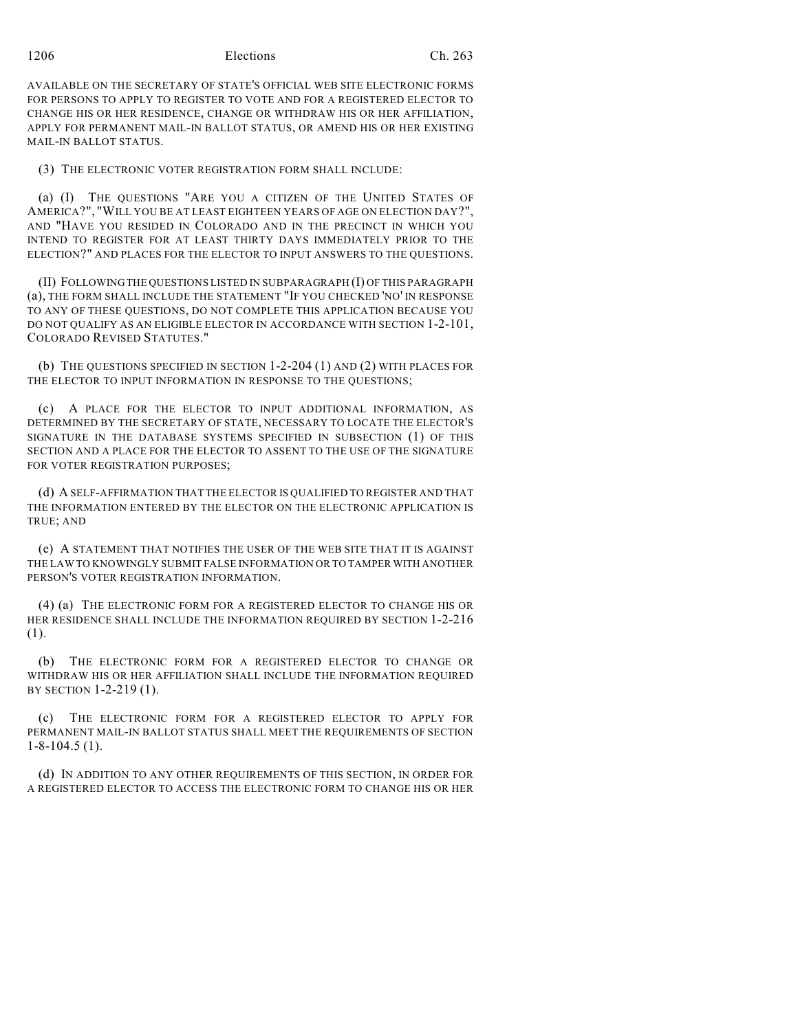1206 Elections Ch. 263

AVAILABLE ON THE SECRETARY OF STATE'S OFFICIAL WEB SITE ELECTRONIC FORMS FOR PERSONS TO APPLY TO REGISTER TO VOTE AND FOR A REGISTERED ELECTOR TO CHANGE HIS OR HER RESIDENCE, CHANGE OR WITHDRAW HIS OR HER AFFILIATION, APPLY FOR PERMANENT MAIL-IN BALLOT STATUS, OR AMEND HIS OR HER EXISTING MAIL-IN BALLOT STATUS.

(3) THE ELECTRONIC VOTER REGISTRATION FORM SHALL INCLUDE:

(a) (I) THE QUESTIONS "ARE YOU A CITIZEN OF THE UNITED STATES OF AMERICA?", "WILL YOU BE AT LEAST EIGHTEEN YEARS OF AGE ON ELECTION DAY?", AND "HAVE YOU RESIDED IN COLORADO AND IN THE PRECINCT IN WHICH YOU INTEND TO REGISTER FOR AT LEAST THIRTY DAYS IMMEDIATELY PRIOR TO THE ELECTION?" AND PLACES FOR THE ELECTOR TO INPUT ANSWERS TO THE QUESTIONS.

(II) FOLLOWING THE QUESTIONS LISTED IN SUBPARAGRAPH (I) OF THIS PARAGRAPH (a), THE FORM SHALL INCLUDE THE STATEMENT "IF YOU CHECKED 'NO' IN RESPONSE TO ANY OF THESE QUESTIONS, DO NOT COMPLETE THIS APPLICATION BECAUSE YOU DO NOT QUALIFY AS AN ELIGIBLE ELECTOR IN ACCORDANCE WITH SECTION 1-2-101, COLORADO REVISED STATUTES."

(b) THE QUESTIONS SPECIFIED IN SECTION 1-2-204 (1) AND (2) WITH PLACES FOR THE ELECTOR TO INPUT INFORMATION IN RESPONSE TO THE QUESTIONS;

(c) A PLACE FOR THE ELECTOR TO INPUT ADDITIONAL INFORMATION, AS DETERMINED BY THE SECRETARY OF STATE, NECESSARY TO LOCATE THE ELECTOR'S SIGNATURE IN THE DATABASE SYSTEMS SPECIFIED IN SUBSECTION (1) OF THIS SECTION AND A PLACE FOR THE ELECTOR TO ASSENT TO THE USE OF THE SIGNATURE FOR VOTER REGISTRATION PURPOSES;

(d) A SELF-AFFIRMATION THAT THE ELECTOR IS QUALIFIED TO REGISTER AND THAT THE INFORMATION ENTERED BY THE ELECTOR ON THE ELECTRONIC APPLICATION IS TRUE; AND

(e) A STATEMENT THAT NOTIFIES THE USER OF THE WEB SITE THAT IT IS AGAINST THE LAW TO KNOWINGLY SUBMIT FALSE INFORMATION OR TO TAMPER WITH ANOTHER PERSON'S VOTER REGISTRATION INFORMATION.

(4) (a) THE ELECTRONIC FORM FOR A REGISTERED ELECTOR TO CHANGE HIS OR HER RESIDENCE SHALL INCLUDE THE INFORMATION REQUIRED BY SECTION 1-2-216 (1).

(b) THE ELECTRONIC FORM FOR A REGISTERED ELECTOR TO CHANGE OR WITHDRAW HIS OR HER AFFILIATION SHALL INCLUDE THE INFORMATION REQUIRED BY SECTION 1-2-219 (1).

(c) THE ELECTRONIC FORM FOR A REGISTERED ELECTOR TO APPLY FOR PERMANENT MAIL-IN BALLOT STATUS SHALL MEET THE REQUIREMENTS OF SECTION 1-8-104.5 (1).

(d) IN ADDITION TO ANY OTHER REQUIREMENTS OF THIS SECTION, IN ORDER FOR A REGISTERED ELECTOR TO ACCESS THE ELECTRONIC FORM TO CHANGE HIS OR HER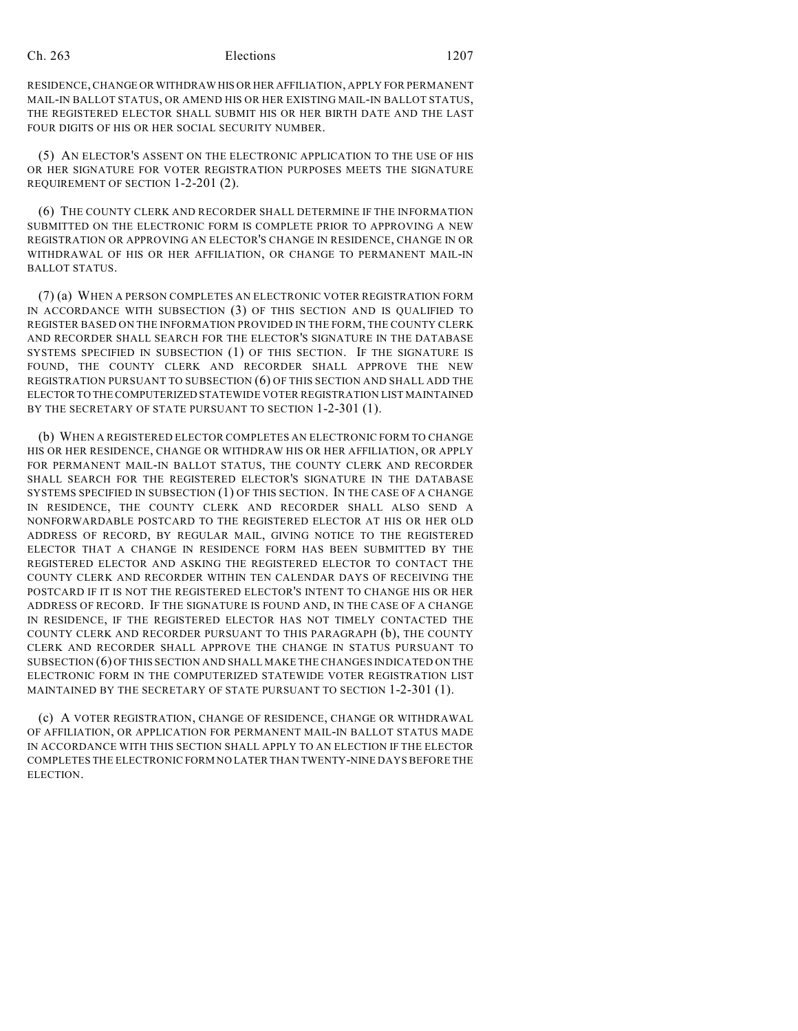## Ch. 263 Elections 1207

RESIDENCE, CHANGE OR WITHDRAW HIS OR HER AFFILIATION, APPLY FOR PERMANENT MAIL-IN BALLOT STATUS, OR AMEND HIS OR HER EXISTING MAIL-IN BALLOT STATUS, THE REGISTERED ELECTOR SHALL SUBMIT HIS OR HER BIRTH DATE AND THE LAST FOUR DIGITS OF HIS OR HER SOCIAL SECURITY NUMBER.

(5) AN ELECTOR'S ASSENT ON THE ELECTRONIC APPLICATION TO THE USE OF HIS OR HER SIGNATURE FOR VOTER REGISTRATION PURPOSES MEETS THE SIGNATURE REQUIREMENT OF SECTION 1-2-201 (2).

(6) THE COUNTY CLERK AND RECORDER SHALL DETERMINE IF THE INFORMATION SUBMITTED ON THE ELECTRONIC FORM IS COMPLETE PRIOR TO APPROVING A NEW REGISTRATION OR APPROVING AN ELECTOR'S CHANGE IN RESIDENCE, CHANGE IN OR WITHDRAWAL OF HIS OR HER AFFILIATION, OR CHANGE TO PERMANENT MAIL-IN BALLOT STATUS.

(7) (a) WHEN A PERSON COMPLETES AN ELECTRONIC VOTER REGISTRATION FORM IN ACCORDANCE WITH SUBSECTION (3) OF THIS SECTION AND IS QUALIFIED TO REGISTER BASED ON THE INFORMATION PROVIDED IN THE FORM, THE COUNTY CLERK AND RECORDER SHALL SEARCH FOR THE ELECTOR'S SIGNATURE IN THE DATABASE SYSTEMS SPECIFIED IN SUBSECTION (1) OF THIS SECTION. IF THE SIGNATURE IS FOUND, THE COUNTY CLERK AND RECORDER SHALL APPROVE THE NEW REGISTRATION PURSUANT TO SUBSECTION (6) OF THIS SECTION AND SHALL ADD THE ELECTOR TO THE COMPUTERIZED STATEWIDE VOTER REGISTRATION LIST MAINTAINED BY THE SECRETARY OF STATE PURSUANT TO SECTION 1-2-301 (1).

(b) WHEN A REGISTERED ELECTOR COMPLETES AN ELECTRONIC FORM TO CHANGE HIS OR HER RESIDENCE, CHANGE OR WITHDRAW HIS OR HER AFFILIATION, OR APPLY FOR PERMANENT MAIL-IN BALLOT STATUS, THE COUNTY CLERK AND RECORDER SHALL SEARCH FOR THE REGISTERED ELECTOR'S SIGNATURE IN THE DATABASE SYSTEMS SPECIFIED IN SUBSECTION (1) OF THIS SECTION. IN THE CASE OF A CHANGE IN RESIDENCE, THE COUNTY CLERK AND RECORDER SHALL ALSO SEND A NONFORWARDABLE POSTCARD TO THE REGISTERED ELECTOR AT HIS OR HER OLD ADDRESS OF RECORD, BY REGULAR MAIL, GIVING NOTICE TO THE REGISTERED ELECTOR THAT A CHANGE IN RESIDENCE FORM HAS BEEN SUBMITTED BY THE REGISTERED ELECTOR AND ASKING THE REGISTERED ELECTOR TO CONTACT THE COUNTY CLERK AND RECORDER WITHIN TEN CALENDAR DAYS OF RECEIVING THE POSTCARD IF IT IS NOT THE REGISTERED ELECTOR'S INTENT TO CHANGE HIS OR HER ADDRESS OF RECORD. IF THE SIGNATURE IS FOUND AND, IN THE CASE OF A CHANGE IN RESIDENCE, IF THE REGISTERED ELECTOR HAS NOT TIMELY CONTACTED THE COUNTY CLERK AND RECORDER PURSUANT TO THIS PARAGRAPH (b), THE COUNTY CLERK AND RECORDER SHALL APPROVE THE CHANGE IN STATUS PURSUANT TO SUBSECTION (6) OF THIS SECTION AND SHALL MAKE THE CHANGES INDICATED ON THE ELECTRONIC FORM IN THE COMPUTERIZED STATEWIDE VOTER REGISTRATION LIST MAINTAINED BY THE SECRETARY OF STATE PURSUANT TO SECTION 1-2-301 (1).

(c) A VOTER REGISTRATION, CHANGE OF RESIDENCE, CHANGE OR WITHDRAWAL OF AFFILIATION, OR APPLICATION FOR PERMANENT MAIL-IN BALLOT STATUS MADE IN ACCORDANCE WITH THIS SECTION SHALL APPLY TO AN ELECTION IF THE ELECTOR COMPLETES THE ELECTRONIC FORM NO LATER THAN TWENTY-NINE DAYS BEFORE THE ELECTION.